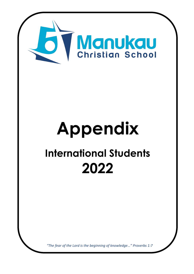

# **Appendix International Students 2022**

*"The fear of the Lord is the beginning of knowledge…" Proverbs 1:7*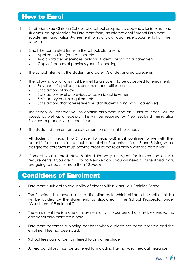# How to Enrol

- 1. Email Manukau Christian School for a school prospectus, appendix for international students, an Application for Enrolment form, an International Student Enrolment Supplement and Tuition Agreement form, or [download these documents from t](http://images/Enrolment%20Application%20Form.pdf)he website.
- 2. Email the completed forms to the school, along with:
	- Application fee (non-refundable
	- Two character references (only for students living with a caregiver)
	- Copy of records of previous year of schooling
- 3. The school interviews the student and parent/s or designated caregiver.
- 4. The following conditions must be met for a student to be accepted for enrolment:
	- Payment of application, enrolment and tuition fee
	- Satisfactory interview
	- Satisfactory level of previous academic achievement
	- Satisfactory health requirements
	- Satisfactory character references (for students living with a caregiver)
- 5. The school will contact you to confirm enrolment and an "Offer of Place" will be issued, as well as a receipt. This will be required by New Zealand Immigration Services to process your student visa.
- 6. The student sits an entrance assessment on arrival at the school.
- 7. All students in Years 1 to 6 (under 10 years old) **must** continue to live with their parent/s for the duration of their student visa. Students in Years 7 and 8 living with a designated caregiver must provide proof of the relationship with the caregiver.
- 8. Contact your nearest New Zealand Embassy or agent for information on visa requirements. If you are a visitor to New Zealand, you will need a student visa if you are going to study for more than 12 weeks.

# Conditions of Enrolment

- Enrolment is subject to availability of places within Manukau Christian School.
- The Principal shall have absolute discretion as to which children he shall enrol. He will be guided by the statements as stipulated in the School Prospectus under "Conditions of Enrolment."
- The enrolment fee is a one-off payment only. If your period of stay is extended, no additional enrolment fee is paid.
- Enrolment becomes a binding contract when a place has been reserved and the enrolment fee has been paid.
- School fees cannot be transferred to any other student.
- All visa conditions must be adhered to, including having valid medical insurance.

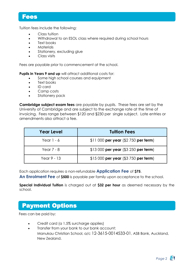### Fees

Tuition fees include the following:

- Class tuition
- Withdrawal to an ESOL class where required during school hours
- Text books
- **Materials**
- Stationery, excluding glue
- Class visits

Fees are payable prior to commencement at the school.

**Pupils in Years 9 and up** will attract additional costs for:

- Some high school courses and equipment
- Text books
- ID card
- Camp costs
- Stationery pack

**Cambridge subject exam fees** are payable by pupils. These fees are set by the University of Cambridge and are subject to the exchange rate at the time of invoicing. Fees range between \$120 and \$230 per single subject. Late entries or amendments also attract a fee.

| <b>Year Level</b> | <b>Tuition Fees</b>                    |
|-------------------|----------------------------------------|
| Year $1 - 6$      | \$11 000 per year $($2 750$ per term)  |
| Year $7 - 8$      | \$13 000 per year $( $3 250$ per term) |
| Year 9 - 13       | \$15 000 per year $($3 750$ per term)  |

Each application requires a non-refundable **Application Fee** of **\$75**.

**An Enrolment Fee** of **\$500** is payable per family upon acceptance to the school.

**Special Individual Tuition** is charged out at **\$32 per hour** as deemed necessary by the school.

# Payment Options

Fees can be paid by:

- Credit card (a 1.5% surcharge applies)
- Transfer from your bank to our bank account: Manukau Christian School, a/c 12-3615-0014533-01, ASB Bank, Auckland, New Zealand.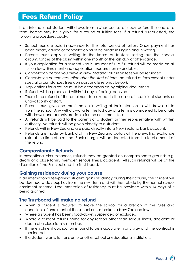# Fees Refund Policy

If an international student withdraws from his/her course of study before the end of a term, he/she may be eligible for a refund of tuition fees. If a refund is requested, the following procedures apply:

- School fees are paid in advance for the total period of tuition. Once payment has been made, advice of cancellation must be made in English and in writing.
- Parents must apply in writing to the Board of Trustees setting out the special circumstances of the claim within one month of the last day of attendance.
- If your application for a student visa is unsuccessful, a full refund will be made on all tuition fees. Enrolment and application fees are non-refundable.
- *Cancellation before you arrive in New Zealand:* all tuition fees will be refunded.
- *Cancellation or term reduction after the start of term:* no refund of fees except under special circumstances (see compassionate refunds below).
- Applications for a refund must be accompanied by original documents.
- Refunds will be processed within 14 days of being received.
- There is no refund of the enrolment fee except in the case of insufficient students or unavailability of staff.
- Parents must give one term's notice in writing of their intention to withdraw a child from the school. Any withdrawal after the last day of a term is considered to be a late withdrawal and parents are liable for the next term's fees.
- All refunds will be paid to the parents of a student or their representative with written authority. No refunds will be given directly to a student.
- Refunds within New Zealand are paid directly into a New Zealand bank account.
- Refunds are made by bank draft in New Zealand dollars at the prevailing exchange rate at the time of a refund. Bank charges will be deducted from the total amount of the refund.

#### **Compassionate Refunds**

In exceptional circumstances, refunds may be granted on compassionate grounds e.g. death of a close family member, serious illness, accident. All such refunds will be at the discretion of the Principal and the Trust board.

#### **Gaining residency during your course**

If an international fee-paying student gains residency during their course, the student will be deemed a day pupil as from the next term and will then abide by the normal school enrolment scheme. Documentation of residency must be provided within 14 days of it being granted.

#### **The Trustboard will make no refund**

- When a student is required to leave the school for a breach of the rules and conditions of enrolment at the school or has broken a New Zealand law.
- Where a student has been stood-down, suspended or excluded.
- Where a student returns home for any reason other than serious illness, accident or death of a close family member.
- If the enrolment application is found to be inaccurate in any way and the contract is terminated.
- If a student wants to transfer to another school or educational institution.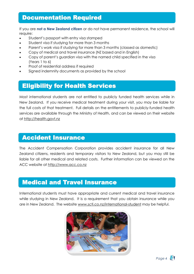# Documentation Required

If you are **not a New Zealand citizen** or do not have permanent residence, the school will require:

- Student's passport with entry visa stamped
- Student visa if studying for more than 3 months
- Parent's work visa if studying for more than 3 months (classed as domestic)
- Copy of medical and travel insurance (NZ based and in English)
- Copy of parent's guardian visa with the named child specified in the visa (Years 1 to 6)
- Proof of residential address if required
- Signed indemnity documents as provided by the school

# Eligibility for Health Services

Most international students are not entitled to publicly funded health services while in New Zealand. If you receive medical treatment during your visit, you may be liable for the full costs of that treatment. Full details on the entitlements to publicly-funded health services are available through the Ministry of Health, and can be viewed on their website at http://health.govt.nz

## Accident Insurance

The Accident Compensation Corporation provides accident insurance for all New Zealand citizens, residents and temporary visitors to New Zealand, but you may still be liable for all other medical and related costs. Further information can be viewed on the ACC website at http://www.acc.co.nz

# Medical and Travel Insurance

International students must have appropriate and current medical and travel insurance while studying in New Zealand. It is a requirement that you obtain insurance while you are in New Zealand. The website www.scti.co.nz/international-student may be helpful.